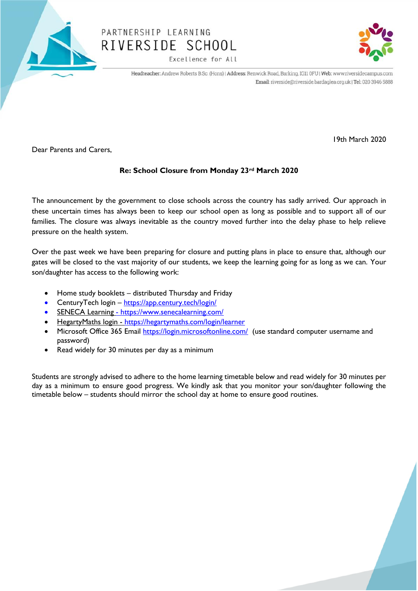

# PARTNERSHIP LEARNING RIVERSIDE SCHOOL

Excellence for All



19th March 2020

Headteacher: Andrew Roberts B.Sc. (Hons) | Address: Renwick Road, Barking, IG11 0FU | Web: www.riversidecampus.com Email: riverside@riverside.bardaglea.org.uk | Tel: 020 3946 5888

Dear Parents and Carers,

#### **Re: School Closure from Monday 23rd March 2020**

The announcement by the government to close schools across the country has sadly arrived. Our approach in these uncertain times has always been to keep our school open as long as possible and to support all of our families. The closure was always inevitable as the country moved further into the delay phase to help relieve pressure on the health system.

Over the past week we have been preparing for closure and putting plans in place to ensure that, although our gates will be closed to the vast majority of our students, we keep the learning going for as long as we can. Your son/daughter has access to the following work:

- Home study booklets distributed Thursday and Friday
- CenturyTech login <https://app.century.tech/login/>
- SENECA Learning <https://www.senecalearning.com/>
- HegartyMaths login <https://hegartymaths.com/login/learner>
- Microsoft Office 365 Email<https://login.microsoftonline.com/> (use standard computer username and password)
- Read widely for 30 minutes per day as a minimum

Students are strongly advised to adhere to the home learning timetable below and read widely for 30 minutes per day as a minimum to ensure good progress. We kindly ask that you monitor your son/daughter following the timetable below – students should mirror the school day at home to ensure good routines.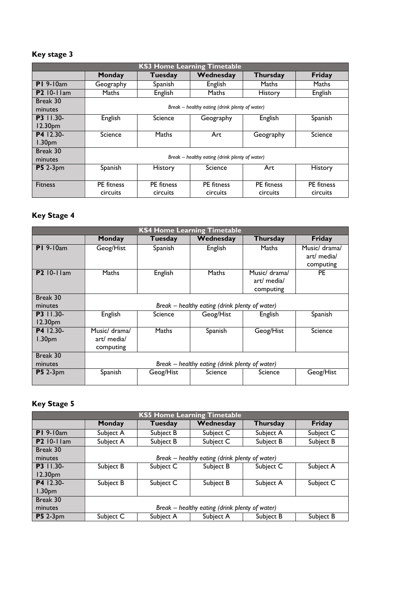### **Key stage 3**

| <b>KS3 Home Learning Timetable</b> |                                                |                   |                   |                 |                   |  |  |
|------------------------------------|------------------------------------------------|-------------------|-------------------|-----------------|-------------------|--|--|
|                                    | Monday                                         | Tuesday           | Wednesday         | <b>Thursday</b> | Friday            |  |  |
| $PI$ 9-10am                        | Geography                                      | Spanish           | English           | Maths           | <b>Maths</b>      |  |  |
| <b>P2</b> 10-11am                  | Maths                                          | English           | Maths             | History         | English           |  |  |
| Break 30                           |                                                |                   |                   |                 |                   |  |  |
| minutes                            | Break – healthy eating (drink plenty of water) |                   |                   |                 |                   |  |  |
| <b>P3</b> 11.30-                   | English                                        | Science           | Geography         | English         | Spanish           |  |  |
| 12.30pm                            |                                                |                   |                   |                 |                   |  |  |
| P4 12.30-                          | Science                                        | Maths             | Art               | Geography       | Science           |  |  |
| 1.30 <sub>pm</sub>                 |                                                |                   |                   |                 |                   |  |  |
| Break 30                           |                                                |                   |                   |                 |                   |  |  |
| minutes                            | Break – healthy eating (drink plenty of water) |                   |                   |                 |                   |  |  |
| <b>P5</b> 2-3pm                    | Spanish                                        | <b>History</b>    | Science           | Art             | History           |  |  |
|                                    |                                                |                   |                   |                 |                   |  |  |
| <b>Fitness</b>                     | PE fitness                                     | <b>PE</b> fitness | <b>PE</b> fitness | PE fitness      | <b>PE</b> fitness |  |  |
|                                    | circuits                                       | circuits          | circuits          | circuits        | circuits          |  |  |

## **Key Stage 4**

| <b>KS4 Home Learning Timetable</b> |                                                |              |           |                 |               |  |  |
|------------------------------------|------------------------------------------------|--------------|-----------|-----------------|---------------|--|--|
|                                    | Monday                                         | Tuesday      | Wednesday | <b>Thursday</b> | Friday        |  |  |
| $PI$ 9-10am                        | Geog/Hist                                      | Spanish      | English   | Maths           | Music/ drama/ |  |  |
|                                    |                                                |              |           |                 | art/ media/   |  |  |
|                                    |                                                |              |           |                 | computing     |  |  |
| <b>P2</b> 10-11am                  | Maths                                          | English      | Maths     | Music/ drama/   | <b>PE</b>     |  |  |
|                                    |                                                |              |           | art/ media/     |               |  |  |
|                                    |                                                |              |           | computing       |               |  |  |
| Break 30                           |                                                |              |           |                 |               |  |  |
| minutes                            | Break – healthy eating (drink plenty of water) |              |           |                 |               |  |  |
| <b>P3</b> 11.30-                   | English                                        | Science      | Geog/Hist | English         | Spanish       |  |  |
| 12.30 <sub>pm</sub>                |                                                |              |           |                 |               |  |  |
| P4 12.30-                          | Music/ drama/                                  | <b>Maths</b> | Spanish   | Geog/Hist       | Science       |  |  |
| 1.30 <sub>pm</sub>                 | art/ media/                                    |              |           |                 |               |  |  |
|                                    | computing                                      |              |           |                 |               |  |  |
| Break 30                           |                                                |              |           |                 |               |  |  |
| minutes                            | Break – healthy eating (drink plenty of water) |              |           |                 |               |  |  |
| $P5$ 2-3 <sub>pm</sub>             | Spanish                                        | Geog/Hist    | Science   | Science         | Geog/Hist     |  |  |

#### **Key Stage 5**

| <b>KS5 Home Learning Timetable</b> |                                                |           |           |           |           |  |  |
|------------------------------------|------------------------------------------------|-----------|-----------|-----------|-----------|--|--|
|                                    | Monday                                         | Tuesday   | Wednesday | Thursday  | Friday    |  |  |
| $PI$ 9-10am                        | Subject A                                      | Subject B | Subject C | Subject A | Subject C |  |  |
| <b>P2</b> 10-11am                  | Subject A                                      | Subject B | Subject C | Subject B | Subject B |  |  |
| Break 30                           |                                                |           |           |           |           |  |  |
| minutes                            | Break – healthy eating (drink plenty of water) |           |           |           |           |  |  |
| P3 11.30-                          | Subject B                                      | Subject C | Subject B | Subject C | Subject A |  |  |
| 12.30pm                            |                                                |           |           |           |           |  |  |
| P4 12.30-                          | Subject B                                      | Subject C | Subject B | Subject A | Subject C |  |  |
| 1.30 <sub>pm</sub>                 |                                                |           |           |           |           |  |  |
| Break 30                           |                                                |           |           |           |           |  |  |
| minutes                            | Break – healthy eating (drink plenty of water) |           |           |           |           |  |  |
| <b>P5</b> 2-3pm                    | Subject C                                      | Subject A | Subject A | Subject B | Subject B |  |  |